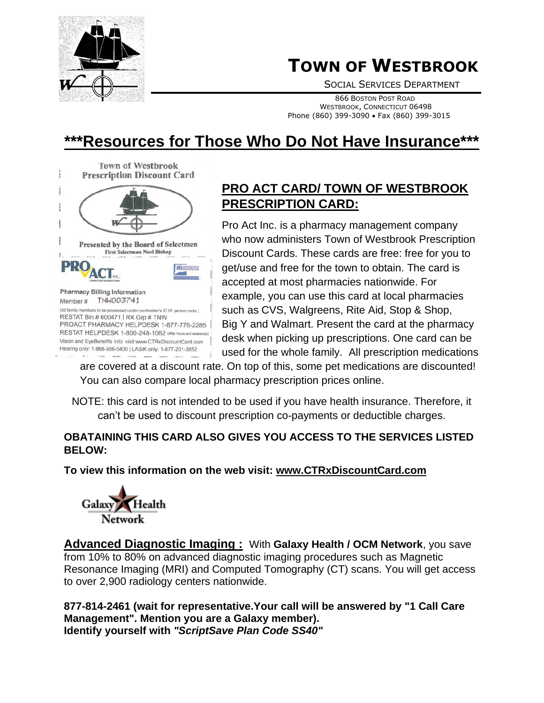

# **TOWN OF WESTBROOK**

SOCIAL SERVICES DEPARTMENT

 <sup>866</sup> <sup>B</sup>OSTON POST ROAD WESTBROOK, CONNECTICUT 06498 Phone (860) 399-3090 • Fax (860) 399-3015

# **\*\*\*Resources for Those Who Do Not Have Insurance\*\*\***



## **PRO ACT CARD/ TOWN OF WESTBROOK PRESCRIPTION CARD:**

Pro Act Inc. is a pharmacy management company who now administers Town of Westbrook Prescription Discount Cards. These cards are free: free for you to get/use and free for the town to obtain. The card is accepted at most pharmacies nationwide. For example, you can use this card at local pharmacies such as CVS, Walgreens, Rite Aid, Stop & Shop, Big Y and Walmart. Present the card at the pharmacy desk when picking up prescriptions. One card can be used for the whole family. All prescription medications

are covered at a discount rate. On top of this, some pet medications are discounted! You can also compare local pharmacy prescription prices online.

NOTE: this card is not intended to be used if you have health insurance. Therefore, it can't be used to discount prescription co-payments or deductible charges.

#### **OBATAINING THIS CARD ALSO GIVES YOU ACCESS TO THE SERVICES LISTED BELOW:**

### **To view this information on the web visit: www.CTRxDiscountCard.com**



**Advanced Diagnostic Imaging :** With **Galaxy Health / OCM Network**, you save from 10% to 80% on advanced diagnostic imaging procedures such as Magnetic Resonance Imaging (MRI) and Computed Tomography (CT) scans. You will get access to over 2,900 radiology centers nationwide.

**877-814-2461 (wait for representative.Your call will be answered by "1 Call Care Management". Mention you are a Galaxy member). Identify yourself with** *"ScriptSave Plan Code SS40"*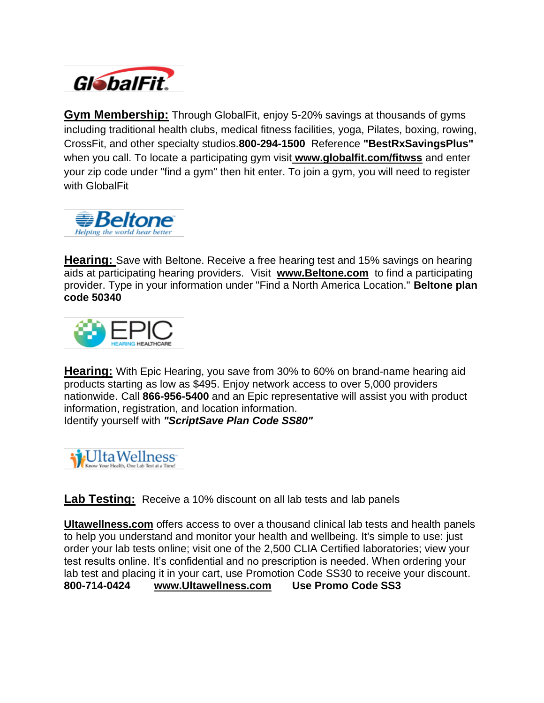

**Gym Membership:** Through GlobalFit, enjoy 5-20% savings at thousands of gyms including traditional health clubs, medical fitness facilities, yoga, Pilates, boxing, rowing, CrossFit, and other specialty studios.**800-294-1500** Reference **"BestRxSavingsPlus"**  when you call. To locate a participating gym visit **[www.globalfit.com/fitwss](http://www.globalfit.com/fitwss)** and enter your zip code under "find a gym" then hit enter. To join a gym, you will need to register with GlobalFit



**Hearing:** Save with Beltone. Receive a free hearing test and 15% savings on hearing aids at participating hearing providers. Visit **[www.Beltone.com](http://www.beltone.com/)** to find a participating provider. Type in your information under "Find a North America Location." **Beltone plan code 50340**



**Hearing:** With Epic Hearing, you save from 30% to 60% on brand-name hearing aid products starting as low as \$495. Enjoy network access to over 5,000 providers nationwide. Call **866-956-5400** and an Epic representative will assist you with product information, registration, and location information. Identify yourself with *"ScriptSave Plan Code SS80"*



**Lab Testing:** Receive a 10% discount on all lab tests and lab panels

**[Ultawellness.com](http://ultawellness.com/)** offers access to over a thousand clinical lab tests and health panels to help you understand and monitor your health and wellbeing. It's simple to use: just order your lab tests online; visit one of the 2,500 CLIA Certified laboratories; view your test results online. It's confidential and no prescription is needed. When ordering your lab test and placing it in your cart, use Promotion Code SS30 to receive your discount. **800-714-0424 [www.Ultawellness.com](http://www.ultawellness.com/) Use Promo Code SS3**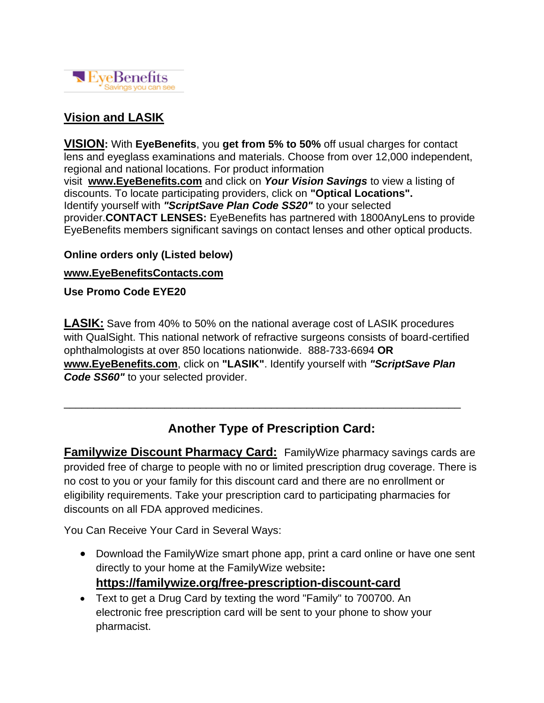

## **Vision and LASIK**

**VISION:** With **EyeBenefits**, you **get from 5% to 50%** off usual charges for contact lens and eyeglass examinations and materials. Choose from over 12,000 independent, regional and national locations. For product information visit **[www.EyeBenefits.com](http://www.eyebenefits.com/)** and click on *Your Vision Savings* to view a listing of discounts. To locate participating providers, click on **"Optical Locations".** Identify yourself with *"ScriptSave Plan Code SS20"* to your selected provider.**CONTACT LENSES:** EyeBenefits has partnered with 1800AnyLens to provide EyeBenefits members significant savings on contact lenses and other optical products.

#### **Online orders only (Listed below)**

#### **[www.EyeBenefitsContacts.com](http://www.eyebenefitscontacts.com/)**

**Use Promo Code EYE20**

**LASIK:** Save from 40% to 50% on the national average cost of LASIK procedures with QualSight. This national network of refractive surgeons consists of board-certified ophthalmologists at over 850 locations nationwide. 888-733-6694 **OR [www.EyeBenefits.com](http://www.eyebenefits.com/)**, click on **"LASIK"**. Identify yourself with *"ScriptSave Plan Code SS60"* to your selected provider.

## **Another Type of Prescription Card:**

\_\_\_\_\_\_\_\_\_\_\_\_\_\_\_\_\_\_\_\_\_\_\_\_\_\_\_\_\_\_\_\_\_\_\_\_\_\_\_\_\_\_\_\_\_\_\_\_\_\_\_\_\_\_\_\_\_\_\_\_\_\_\_\_\_\_\_

**Familywize Discount Pharmacy Card:** FamilyWize pharmacy savings cards are provided free of charge to people with no or limited prescription drug coverage. There is no cost to you or your family for this discount card and there are no enrollment or eligibility requirements. Take your prescription card to participating pharmacies for discounts on all FDA approved medicines.

You Can Receive Your Card in Several Ways:

- Download the FamilyWize smart phone app, print a card online or have one sent directly to your home at the FamilyWize website**: <https://familywize.org/free-prescription-discount-card>**
- Text to get a Drug Card by texting the word "Family" to 700700. An electronic free prescription card will be sent to your phone to show your pharmacist.